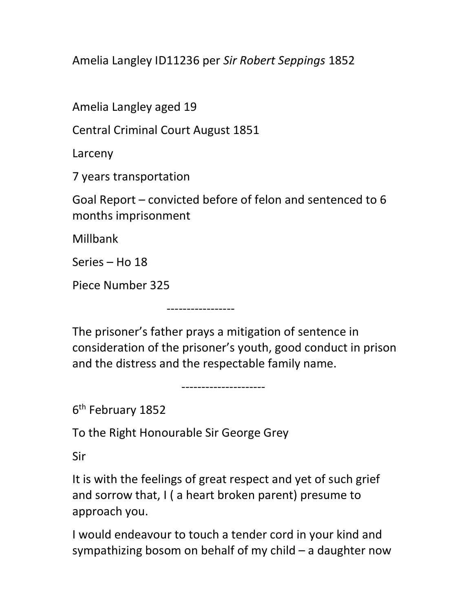Amelia Langley ID11236 per Sir Robert Seppings 1852

Amelia Langley aged 19

Central Criminal Court August 1851

Larceny

7 years transportation

Goal Report – convicted before of felon and sentenced to 6 months imprisonment

Millbank

Series – Ho 18

Piece Number 325

The prisoner's father prays a mitigation of sentence in consideration of the prisoner's youth, good conduct in prison and the distress and the respectable family name.

---------------------

-----------------

6<sup>th</sup> February 1852

To the Right Honourable Sir George Grey

Sir

It is with the feelings of great respect and yet of such grief and sorrow that, I ( a heart broken parent) presume to approach you.

I would endeavour to touch a tender cord in your kind and sympathizing bosom on behalf of my child – a daughter now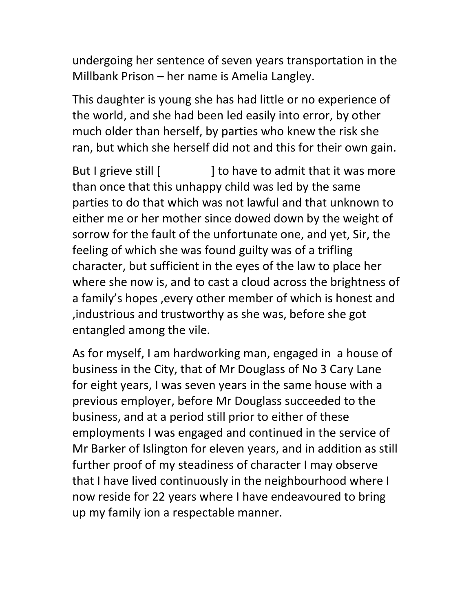undergoing her sentence of seven years transportation in the Millbank Prison – her name is Amelia Langley.

This daughter is young she has had little or no experience of the world, and she had been led easily into error, by other much older than herself, by parties who knew the risk she ran, but which she herself did not and this for their own gain.

But I grieve still [ ] to have to admit that it was more than once that this unhappy child was led by the same parties to do that which was not lawful and that unknown to either me or her mother since dowed down by the weight of sorrow for the fault of the unfortunate one, and yet, Sir, the feeling of which she was found guilty was of a trifling character, but sufficient in the eyes of the law to place her where she now is, and to cast a cloud across the brightness of a family's hopes ,every other member of which is honest and ,industrious and trustworthy as she was, before she got entangled among the vile.

As for myself, I am hardworking man, engaged in a house of business in the City, that of Mr Douglass of No 3 Cary Lane for eight years, I was seven years in the same house with a previous employer, before Mr Douglass succeeded to the business, and at a period still prior to either of these employments I was engaged and continued in the service of Mr Barker of Islington for eleven years, and in addition as still further proof of my steadiness of character I may observe that I have lived continuously in the neighbourhood where I now reside for 22 years where I have endeavoured to bring up my family ion a respectable manner.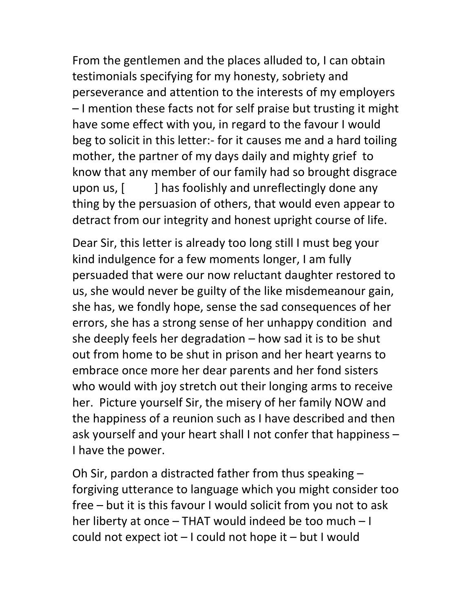From the gentlemen and the places alluded to, I can obtain testimonials specifying for my honesty, sobriety and perseverance and attention to the interests of my employers – I mention these facts not for self praise but trusting it might have some effect with you, in regard to the favour I would beg to solicit in this letter:- for it causes me and a hard toiling mother, the partner of my days daily and mighty grief to know that any member of our family had so brought disgrace upon us,  $\left[ \right]$  has foolishly and unreflectingly done any thing by the persuasion of others, that would even appear to detract from our integrity and honest upright course of life.

Dear Sir, this letter is already too long still I must beg your kind indulgence for a few moments longer, I am fully persuaded that were our now reluctant daughter restored to us, she would never be guilty of the like misdemeanour gain, she has, we fondly hope, sense the sad consequences of her errors, she has a strong sense of her unhappy condition and she deeply feels her degradation – how sad it is to be shut out from home to be shut in prison and her heart yearns to embrace once more her dear parents and her fond sisters who would with joy stretch out their longing arms to receive her. Picture yourself Sir, the misery of her family NOW and the happiness of a reunion such as I have described and then ask yourself and your heart shall I not confer that happiness – I have the power.

Oh Sir, pardon a distracted father from thus speaking – forgiving utterance to language which you might consider too free – but it is this favour I would solicit from you not to ask her liberty at once – THAT would indeed be too much – I could not expect iot – I could not hope it – but I would